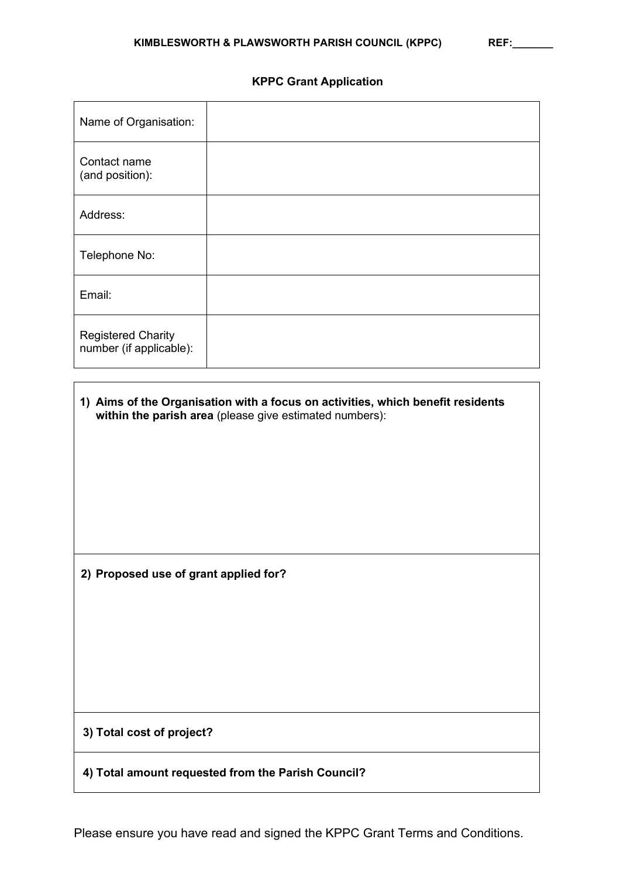# **KPPC Grant Application**

| Name of Organisation:                                |  |
|------------------------------------------------------|--|
| Contact name<br>(and position):                      |  |
| Address:                                             |  |
| Telephone No:                                        |  |
| Email:                                               |  |
| <b>Registered Charity</b><br>number (if applicable): |  |

| 1) Aims of the Organisation with a focus on activities, which benefit residents<br>within the parish area (please give estimated numbers): |  |
|--------------------------------------------------------------------------------------------------------------------------------------------|--|
|                                                                                                                                            |  |
|                                                                                                                                            |  |
|                                                                                                                                            |  |
|                                                                                                                                            |  |
| 2) Proposed use of grant applied for?                                                                                                      |  |
|                                                                                                                                            |  |
|                                                                                                                                            |  |
|                                                                                                                                            |  |
|                                                                                                                                            |  |
| 3) Total cost of project?                                                                                                                  |  |
| 4) Total amount requested from the Parish Council?                                                                                         |  |
|                                                                                                                                            |  |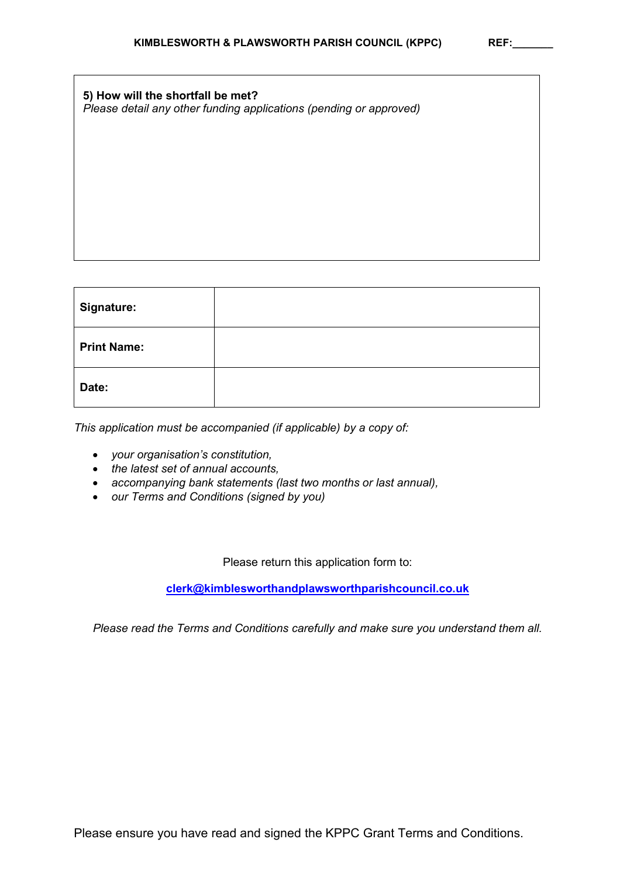| 5) How will the shortfall be met?                                  |  |
|--------------------------------------------------------------------|--|
| Please detail any other funding applications (pending or approved) |  |

| Signature:         |  |
|--------------------|--|
| <b>Print Name:</b> |  |
| Date:              |  |

*This application must be accompanied (if applicable) by a copy of:*

- *your organisation's constitution,*
- *the latest set of annual accounts,*
- *accompanying bank statements (last two months or last annual),*
- *our Terms and Conditions (signed by you)*

Please return this application form to:

**[clerk@kimblesworthandplawsworthparishcouncil.co.uk](mailto:clerk@kimblesworthandplawsworthparishcouncil.co.uk)**

*Please read the Terms and Conditions carefully and make sure you understand them all.*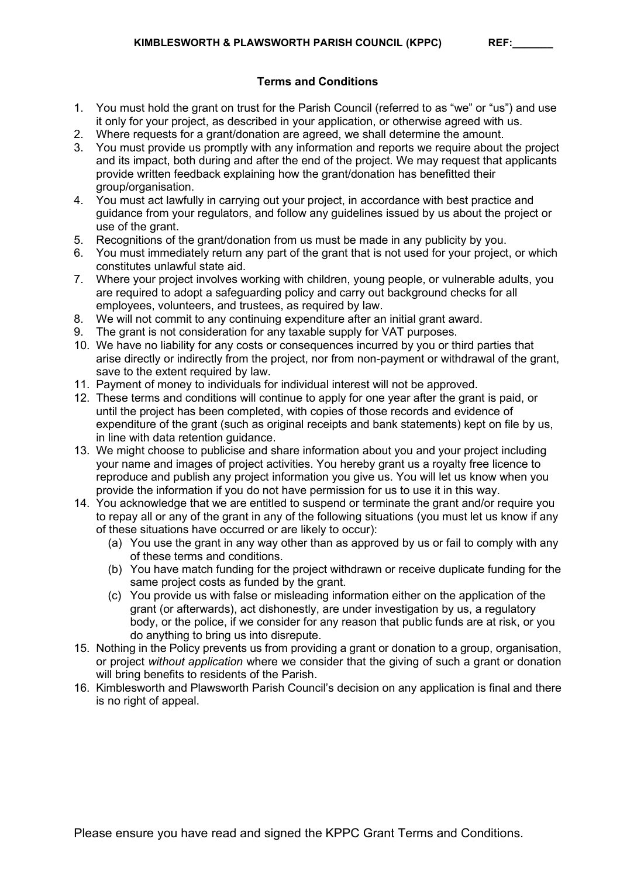# **Terms and Conditions**

- 1. You must hold the grant on trust for the Parish Council (referred to as "we" or "us") and use it only for your project, as described in your application, or otherwise agreed with us.
- 2. Where requests for a grant/donation are agreed, we shall determine the amount.
- 3. You must provide us promptly with any information and reports we require about the project and its impact, both during and after the end of the project. We may request that applicants provide written feedback explaining how the grant/donation has benefitted their group/organisation.
- 4. You must act lawfully in carrying out your project, in accordance with best practice and guidance from your regulators, and follow any guidelines issued by us about the project or use of the grant.
- 5. Recognitions of the grant/donation from us must be made in any publicity by you.
- 6. You must immediately return any part of the grant that is not used for your project, or which constitutes unlawful state aid.
- 7. Where your project involves working with children, young people, or vulnerable adults, you are required to adopt a safeguarding policy and carry out background checks for all employees, volunteers, and trustees, as required by law.
- 8. We will not commit to any continuing expenditure after an initial grant award.
- 9. The grant is not consideration for any taxable supply for VAT purposes.
- 10. We have no liability for any costs or consequences incurred by you or third parties that arise directly or indirectly from the project, nor from non-payment or withdrawal of the grant, save to the extent required by law.
- 11. Payment of money to individuals for individual interest will not be approved.
- 12. These terms and conditions will continue to apply for one year after the grant is paid, or until the project has been completed, with copies of those records and evidence of expenditure of the grant (such as original receipts and bank statements) kept on file by us, in line with data retention guidance.
- 13. We might choose to publicise and share information about you and your project including your name and images of project activities. You hereby grant us a royalty free licence to reproduce and publish any project information you give us. You will let us know when you provide the information if you do not have permission for us to use it in this way.
- 14. You acknowledge that we are entitled to suspend or terminate the grant and/or require you to repay all or any of the grant in any of the following situations (you must let us know if any of these situations have occurred or are likely to occur):
	- (a) You use the grant in any way other than as approved by us or fail to comply with any of these terms and conditions.
	- (b) You have match funding for the project withdrawn or receive duplicate funding for the same project costs as funded by the grant.
	- (c) You provide us with false or misleading information either on the application of the grant (or afterwards), act dishonestly, are under investigation by us, a regulatory body, or the police, if we consider for any reason that public funds are at risk, or you do anything to bring us into disrepute.
- 15. Nothing in the Policy prevents us from providing a grant or donation to a group, organisation, or project *without application* where we consider that the giving of such a grant or donation will bring benefits to residents of the Parish.
- 16. Kimblesworth and Plawsworth Parish Council's decision on any application is final and there is no right of appeal.